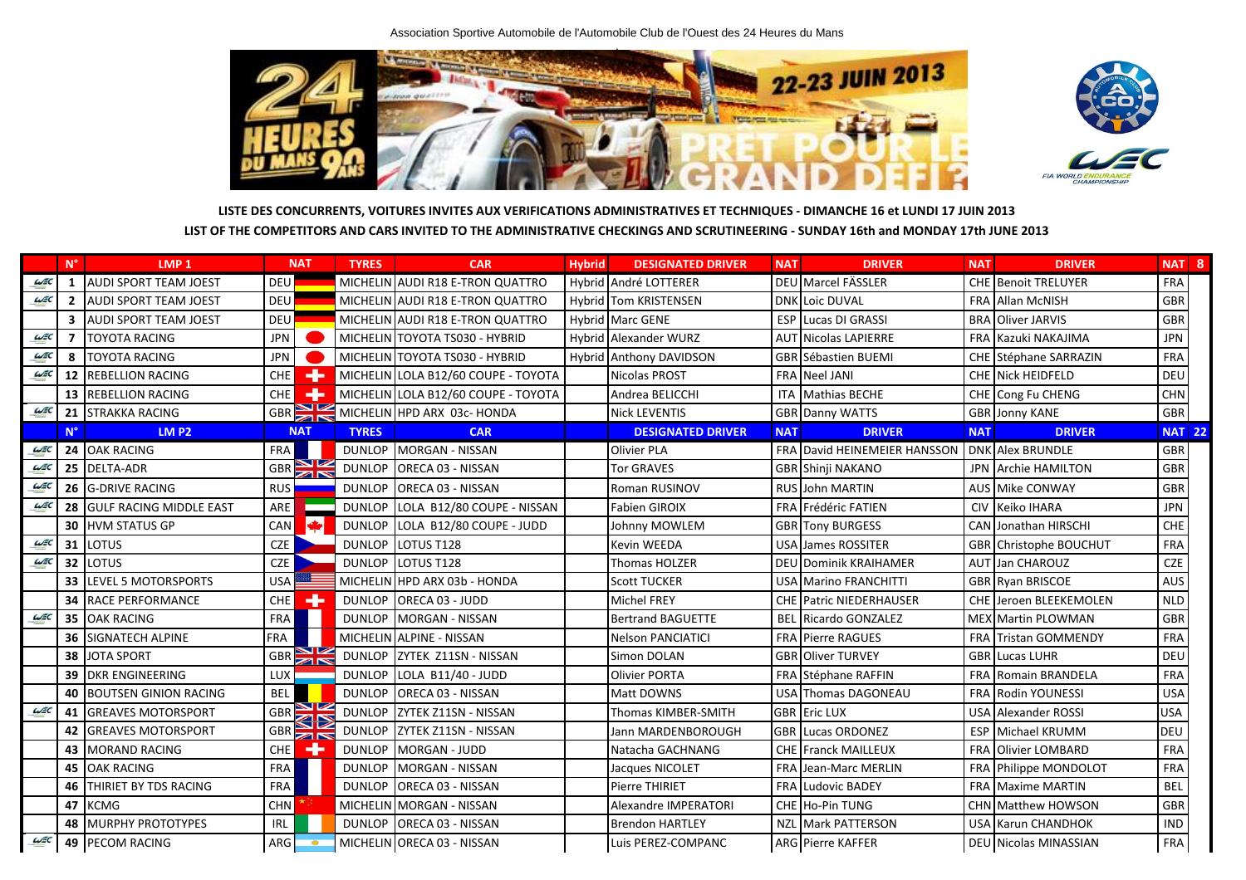



**LISTE DES CONCURRENTS, VOITURES INVITES AUX VERIFICATIONS ADMINISTRATIVES ET TECHNIQUES - DIMANCHE 16 et LUNDI 17 JUIN 2013 LIST OF THE COMPETITORS AND CARS INVITED TO THE ADMINISTRATIVE CHECKINGS AND SCRUTINEERING - SUNDAY 16th and MONDAY 17th JUNE 2013**

|                | $N^{\circ}$    | LMP <sub>1</sub>                   |                  | <b>NAT</b>       | <b>TYRES</b>  | <b>CAR</b>                          | <b>Hybrid</b> | <b>DESIGNATED DRIVER</b> | <b>NAT</b> | <b>DRIVER</b>                  | <b>NAT</b> | <b>DRIVER</b>                 | NAT <sub>8</sub> |  |
|----------------|----------------|------------------------------------|------------------|------------------|---------------|-------------------------------------|---------------|--------------------------|------------|--------------------------------|------------|-------------------------------|------------------|--|
| $\omega \in C$ |                | 1 AUDI SPORT TEAM JOEST            | DEU              |                  |               | MICHELIN AUDI R18 E-TRON QUATTRO    |               | Hybrid André LOTTERER    |            | DEU Marcel FÄSSLER             |            | <b>CHE Benoit TRELUYER</b>    | <b>FRA</b>       |  |
| $\omega \in c$ | $\overline{2}$ | <b>JAUDI SPORT TEAM JOEST</b>      | DEU              |                  |               | MICHELIN AUDI R18 E-TRON QUATTRO    |               | Hybrid Tom KRISTENSEN    |            | <b>DNK Loic DUVAL</b>          |            | FRA Allan McNISH              | <b>GBR</b>       |  |
|                |                | <b>AUDI SPORT TEAM JOEST</b>       | DEU              |                  |               | MICHELIN AUDI R18 E-TRON QUATTRO    |               | Hybrid Marc GENE         | <b>ESP</b> | Lucas DI GRASSI                |            | <b>BRA</b> Oliver JARVIS      | GBR              |  |
| $\omega \in C$ |                | <b>TOYOTA RACING</b>               | <b>JPN</b>       |                  |               | MICHELIN TOYOTA TS030 - HYBRID      |               | Hybrid Alexander WURZ    |            | <b>AUT Nicolas LAPIERRE</b>    |            | FRA Kazuki NAKAJIMA           | <b>JPN</b>       |  |
| $\omega \in C$ | 8              | <b>TOYOTA RACING</b>               | <b>JPN</b>       |                  |               | MICHELIN TOYOTA TS030 - HYBRID      |               | Hybrid Anthony DAVIDSON  |            | <b>GBR Sébastien BUEMI</b>     |            | CHE Stéphane SARRAZIN         | FRA              |  |
| $\omega \in C$ |                | 12 REBELLION RACING                | <b>CHE</b>       | ۰                |               | MICHELIN LOLA B12/60 COUPE - TOYOTA |               | <b>Nicolas PROST</b>     |            | <b>FRA</b> Neel JANI           |            | CHE Nick HEIDFELD             | <b>DEU</b>       |  |
|                |                | <b>13 REBELLION RACING</b>         | CHE              | ÷                |               | MICHELIN LOLA B12/60 COUPE - TOYOTA |               | Andrea BELICCHI          |            | ITA Mathias BECHE              |            | CHE Cong Fu CHENG             | CHN              |  |
| $\omega \in c$ |                | 21 STRAKKA RACING                  |                  | GBR <sub>2</sub> |               | MICHELIN HPD ARX 03c- HONDA         |               | <b>Nick LEVENTIS</b>     |            | <b>GBR</b> Danny WATTS         |            | <b>GBR</b> Jonny KANE         | GBR              |  |
|                | $N^{\circ}$    | <b>LM P2</b>                       |                  | <b>NAT</b>       | <b>TYRES</b>  | <b>CAR</b>                          |               | <b>DESIGNATED DRIVER</b> | <b>NAT</b> | <b>DRIVER</b>                  | <b>NAT</b> | <b>DRIVER</b>                 | <b>NAT 22</b>    |  |
| $\omega \in C$ |                | 24 OAK RACING                      | FRA              |                  |               | DUNLOP MORGAN - NISSAN              |               | <b>Olivier PLA</b>       |            | FRA David HEINEMEIER HANSSON   |            | <b>DNK Alex BRUNDLE</b>       | <b>GBR</b>       |  |
| $\omega \in C$ |                | 25 DELTA-ADR                       | GBR <sub>2</sub> |                  |               | DUNLOP ORECA 03 - NISSAN            |               | <b>Tor GRAVES</b>        |            | <b>GBR Shinji NAKANO</b>       |            | <b>JPN</b> Archie HAMILTON    | <b>GBR</b>       |  |
| $\omega \in C$ |                | 26 G-DRIVE RACING                  | <b>RUS</b>       |                  |               | DUNLOP ORECA 03 - NISSAN            |               | Roman RUSINOV            |            | <b>RUS John MARTIN</b>         |            | AUS Mike CONWAY               | GBR              |  |
| $\omega \in c$ |                | <b>28 IGULF RACING MIDDLE EAST</b> | ARE              |                  |               | DUNLOP LOLA B12/80 COUPE - NISSAN   |               | <b>Fabien GIROIX</b>     |            | <b>FRA Frédéric FATIEN</b>     |            | CIV Keiko IHARA               | <b>JPN</b>       |  |
|                |                | <b>30 HVM STATUS GP</b>            | CAN              | 伞                |               | DUNLOP LOLA B12/80 COUPE - JUDD     |               | Johnny MOWLEM            |            | <b>GBR</b> Tony BURGESS        |            | <b>CAN</b> Jonathan HIRSCHI   | CHE              |  |
| $\omega \in C$ |                | 31 LOTUS                           | CZE              |                  |               | DUNLOP LOTUS T128                   |               | <b>Kevin WEEDA</b>       |            | USA James ROSSITER             |            | <b>GBR</b> Christophe BOUCHUT | <b>FRA</b>       |  |
| $\omega \in c$ |                | 32 LOTUS                           | CZE              |                  |               | DUNLOP LOTUS T128                   |               | Thomas HOLZER            |            | <b>DEU Dominik KRAIHAMER</b>   |            | AUT Jan CHAROUZ               | CZE              |  |
|                |                | <b>33 LEVEL 5 MOTORSPORTS</b>      | <b>USA</b>       |                  |               | MICHELIN HPD ARX 03b - HONDA        |               | <b>Scott TUCKER</b>      |            | <b>USA Marino FRANCHITTI</b>   |            | <b>GBR</b> Ryan BRISCOE       | AUS              |  |
|                |                | <b>34 RACE PERFORMANCE</b>         | CHE              | ۰                |               | DUNLOP ORECA 03 - JUDD              |               | <b>Michel FREY</b>       |            | <b>CHE Patric NIEDERHAUSER</b> |            | CHE Jeroen BLEEKEMOLEN        | <b>NLD</b>       |  |
| $\omega \in C$ |                | 35 OAK RACING                      | <b>FRA</b>       |                  |               | DUNLOP MORGAN - NISSAN              |               | <b>Bertrand BAGUETTE</b> |            | <b>BEL Ricardo GONZALEZ</b>    |            | <b>MEX Martin PLOWMAN</b>     | <b>GBR</b>       |  |
|                |                | <b>36 ISIGNATECH ALPINE</b>        | <b>FRA</b>       |                  |               | MICHELIN ALPINE - NISSAN            |               | <b>Nelson PANCIATICI</b> |            | <b>FRA Pierre RAGUES</b>       |            | <b>FRA</b> Tristan GOMMENDY   | FRA              |  |
|                |                | <b>38 JOTA SPORT</b>               |                  | GBR <b>SIM</b>   |               | DUNLOP ZYTEK Z11SN - NISSAN         |               | <b>Simon DOLAN</b>       |            | <b>GBRIOliver TURVEY</b>       |            | <b>GBR</b> Lucas LUHR         | <b>DEU</b>       |  |
|                |                | <b>39   DKR ENGINEERING</b>        | LUX              |                  |               | DUNLOP LOLA B11/40 - JUDD           |               | <b>Olivier PORTA</b>     |            | FRA Stéphane RAFFIN            |            | <b>FRA Romain BRANDELA</b>    | FRA              |  |
|                |                | <b>40 IBOUTSEN GINION RACING</b>   | <b>BEL</b>       |                  |               | DUNLOP ORECA 03 - NISSAN            |               | Matt DOWNS               |            | USA Thomas DAGONEAU            |            | <b>FRA Rodin YOUNESSI</b>     | <b>USA</b>       |  |
| $\omega \in C$ |                | 41 GREAVES MOTORSPORT              | GBR              |                  |               | DUNLOP ZYTEK Z11SN - NISSAN         |               | Thomas KIMBER-SMITH      |            | <b>GBR Eric LUX</b>            |            | <b>USA Alexander ROSSI</b>    | <b>USA</b>       |  |
|                |                | 42 GREAVES MOTORSPORT              |                  | GBR <b>ZIF</b>   |               | DUNLOP ZYTEK Z11SN - NISSAN         |               | Jann MARDENBOROUGH       |            | <b>GBR Lucas ORDONEZ</b>       |            | <b>ESP Michael KRUMM</b>      | DEU              |  |
|                |                | <b>43 MORAND RACING</b>            | <b>CHE</b>       | ÷                |               | DUNLOP MORGAN - JUDD                |               | Natacha GACHNANG         |            | <b>CHE</b> Franck MAILLEUX     |            | FRA Olivier LOMBARD           | FRA              |  |
|                |                | <b>45 JOAK RACING</b>              | <b>FRA</b>       |                  | <b>DUNLOP</b> | <b>MORGAN - NISSAN</b>              |               | Jacques NICOLET          |            | <b>FRA Jean-Marc MERLIN</b>    |            | FRA Philippe MONDOLOT         | <b>FRA</b>       |  |
|                |                | <b>46   THIRIET BY TDS RACING</b>  | <b>FRA</b>       |                  |               | DUNLOP ORECA 03 - NISSAN            |               | Pierre THIRIET           |            | <b>FRA</b> Ludovic BADEY       |            | <b>FRA Maxime MARTIN</b>      | <b>BEL</b>       |  |
|                |                | 47 KCMG                            | <b>CHN</b>       |                  |               | MICHELIN MORGAN - NISSAN            |               | Alexandre IMPERATORI     |            | CHE Ho-Pin TUNG                |            | <b>CHN Matthew HOWSON</b>     | GBR              |  |
|                |                | <b>48   MURPHY PROTOTYPES</b>      | IRL              |                  |               | DUNLOP ORECA 03 - NISSAN            |               | <b>Brendon HARTLEY</b>   |            | NZL Mark PATTERSON             |            | USA Karun CHANDHOK            | <b>IND</b>       |  |
| $\omega \in c$ |                | 49 PECOM RACING                    | ARG              | $\bullet$        |               | MICHELIN ORECA 03 - NISSAN          |               | Luis PEREZ-COMPANC       |            | ARG Pierre KAFFER              |            | <b>DEU Nicolas MINASSIAN</b>  | FRA              |  |